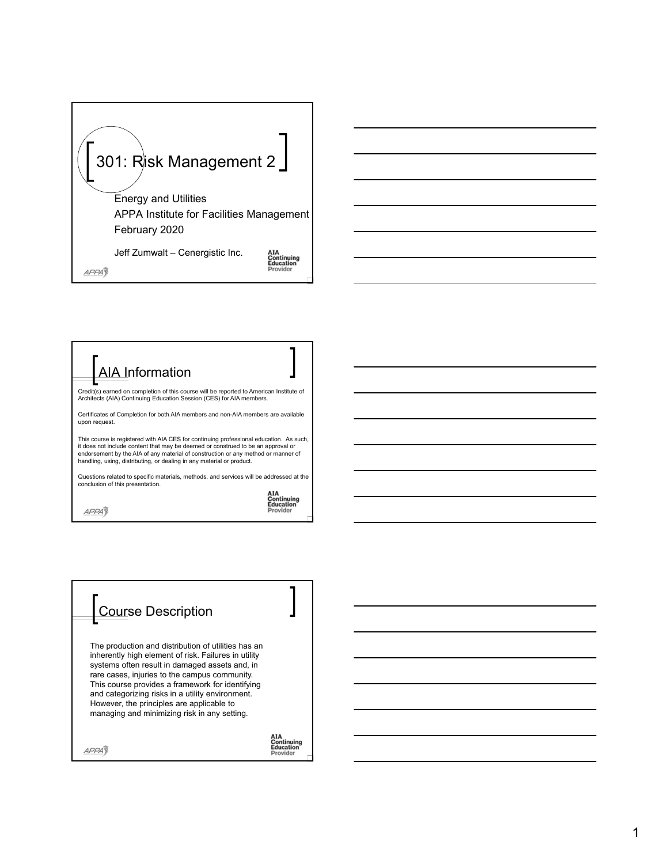



| <b>Course Description</b>                                                                                                                                                                                                                                                                                                                                                                                           |  |
|---------------------------------------------------------------------------------------------------------------------------------------------------------------------------------------------------------------------------------------------------------------------------------------------------------------------------------------------------------------------------------------------------------------------|--|
| The production and distribution of utilities has an<br>inherently high element of risk. Failures in utility<br>systems often result in damaged assets and, in<br>rare cases, injuries to the campus community.<br>This course provides a framework for identifying<br>and categorizing risks in a utility environment.<br>However, the principles are applicable to<br>managing and minimizing risk in any setting. |  |
|                                                                                                                                                                                                                                                                                                                                                                                                                     |  |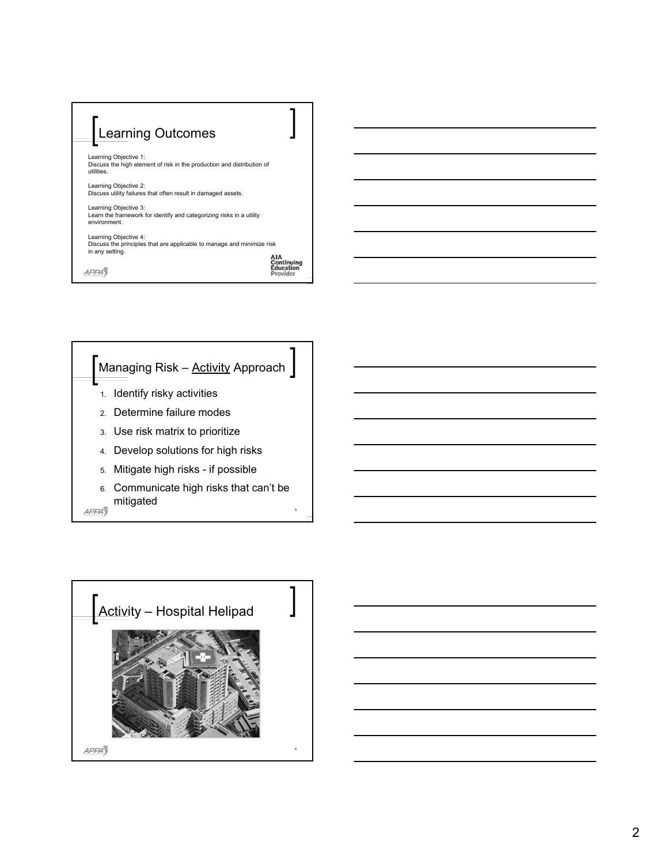



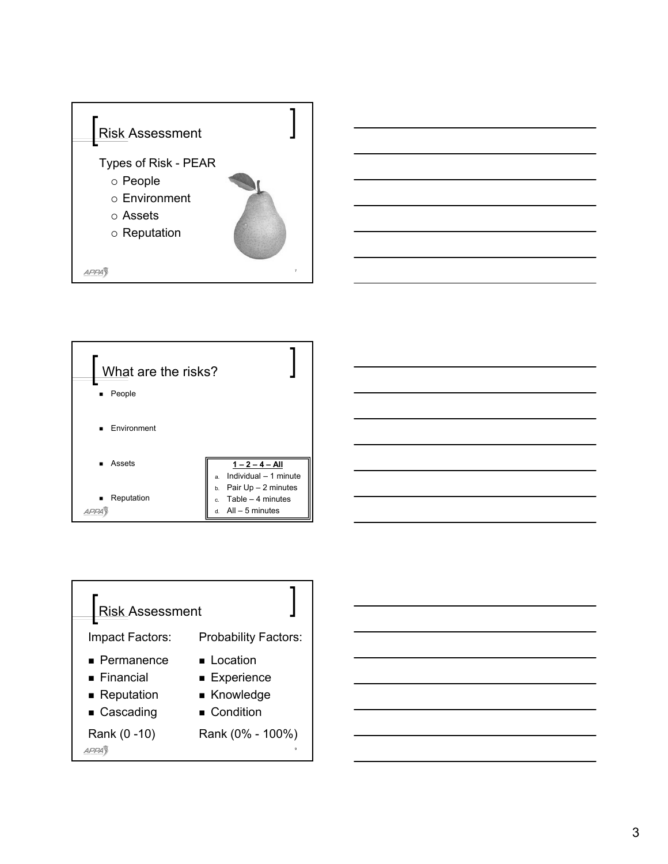





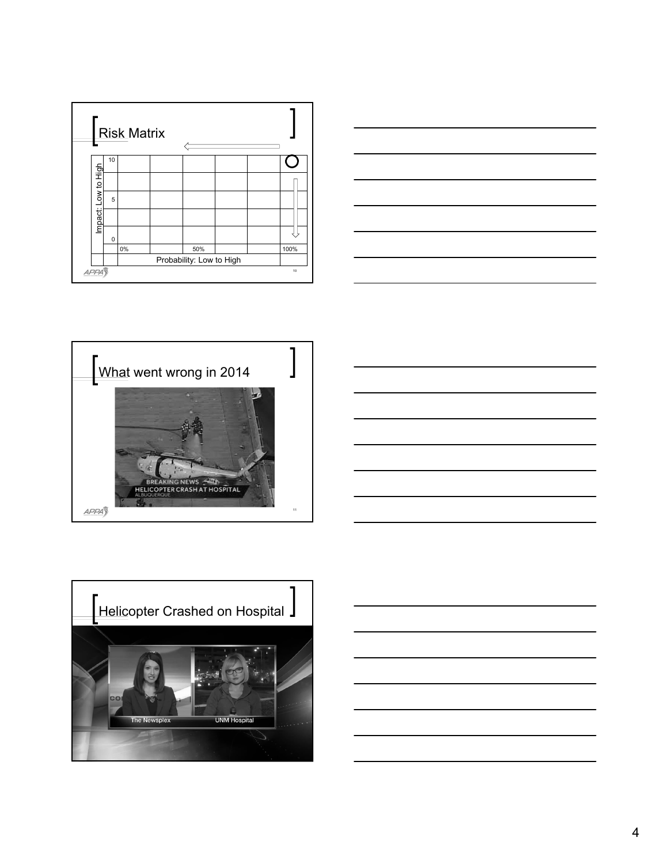







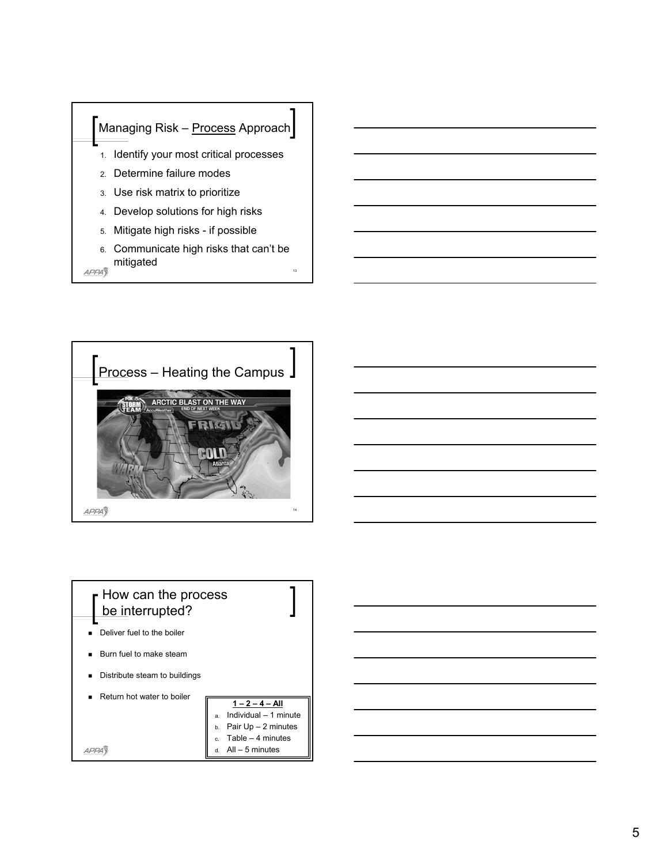

13

APPA<sub>3</sub>





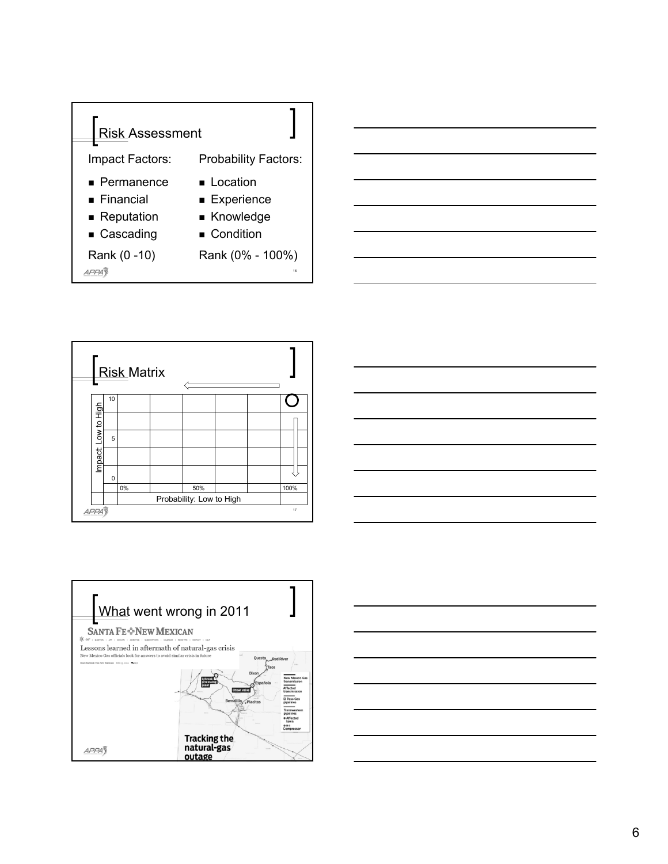